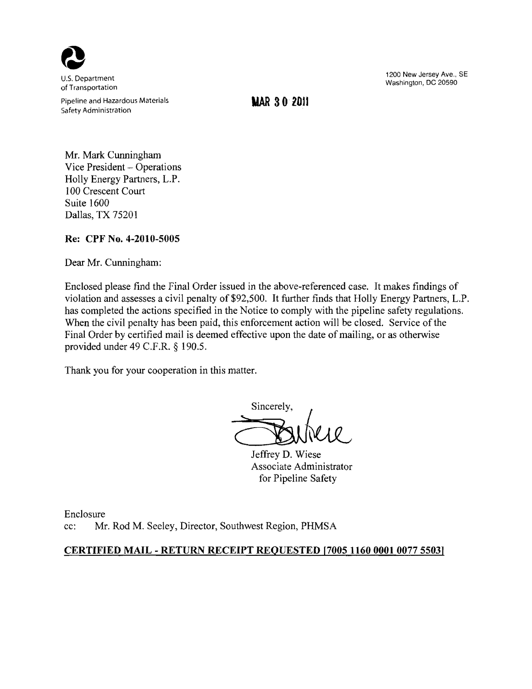

Pipeline and Hazardous Materials **WAR 30 2011** Safety Administration

1200 New Jersey Ave., SE u.s. Department Washington, DC 20590 of Transportation

Mr. Mark Cunningham Vice President - Operations Holly Energy Partners, L.P. 100 Crescent Court Suite 1600 Dallas, TX 75201

# **Re: CPF No. 4-2010-5005**

Dear Mr. Cunningham:

Enclosed please find the Final Order issued in the above-referenced case. It makes findings of violation and assesses a civil penalty of \$92,500. It further finds that Holly Energy Partners, L.P. has completed the actions specified in the Notice to comply with the pipeline safety regulations. When the civil penalty has been paid, this enforcement action will be closed. Service of the Final Order by certified mail is deemed effective upon the date of mailing, or as otherwise provided under 49 C.F.R. § 190.5.

Thank you for your cooperation in this matter.

Sincerely,<br>
Sincerely,<br>
Jeffrey D. Wiese<br>
Associate Administrator

Associate Administrator for Pipeline Safety

Enclosure cc: Mr. Rod M. Seeley, Director, Southwest Region, PHMSA

# **CERTIFIED MAIL - RETURN RECEIPT REQUESTED [7005 11600001 007755031**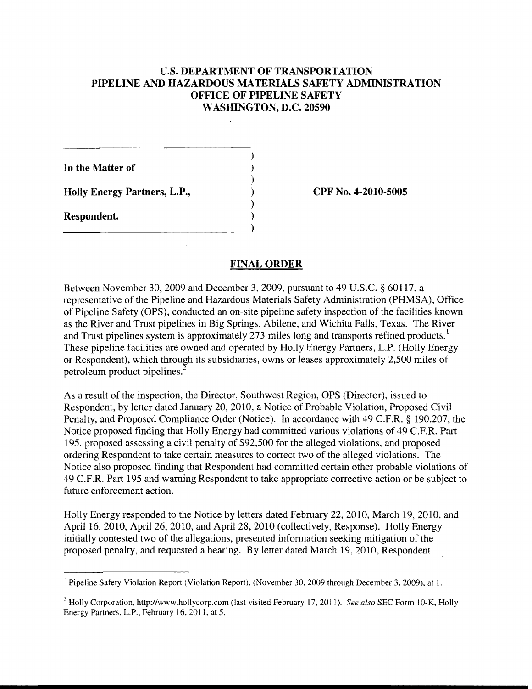## U.S. DEPARTMENT OF TRANSPORTATION PIPELINE AND HAZARDOUS MATERIALS SAFETY ADMINISTRATION OFFICE OF PIPELINE SAFETY WASHINGTON, D.C. 20590

) In the Matter of ) Holly Energy Partners, L.P., (Exercíse 2010-5005) ) Respondent. )

## FINAL ORDER

Between November 30,2009 and December 3,2009, pursuant to 49 U.S.C. § 60117, a representative of the Pipeline and Hazardous Materials Safety Administration (PHMSA), Office of Pipeline Safety (OPS), conducted an on-site pipeline safety inspection of the facilities known as the River and Trust pipelines in Big Springs, Abilene, and Wichita Falls, Texas. The River and Trust pipelines system is approximately 273 miles long and transports refined products. These pipeline facilities are owned and operated by Holly Energy Partners, L.P. (Holly Energy or Respondent), which through its subsidiaries, owns or leases approximately 2,500 miles of petroleum product pipelines.

As a result of the inspection, the Director, Southwest Region, OPS (Director), issued to Respondent, by letter dated January 20,2010, a Notice of Probable Violation, Proposed Civil Penalty, and Proposed Compliance Order (Notice). In accordance with 49 C.F.R. § 190.207, the Notice proposed finding that Holly Energy had committed various violations of 49 c.F.R. Part 195, proposed assessing a civil penalty of S92,500 for the alleged violations, and proposed ordering Respondent to take certain measures to correct two of the alleged violations. The Notice also proposed finding that Respondent had committed certain other probable violations of 49 C.F.R. Part 195 and warning Respondent to take appropriate corrective action or be subject to future enforcement action.

Holly Energy responded to the Notice by letters dated February 22, 2010, March 19,2010, and April 16, 2010, April 26, 2010, and April 28, 2010 (collectively, Response). Holly Energy initially contested two of the allegations, presented information seeking mitigation of the proposed penalty, and requested a hearing. By letter dated March 19,2010, Respondent

<sup>&</sup>lt;sup>1</sup> Pipeline Safety Violation Report (Violation Report), (November 30, 2009 through December 3, 2009), at 1.

<sup>&</sup>lt;sup>2</sup> Holly Corporation, http://www.hollycorp.com (last visited February 17, 2011). *See also* SEC Form 10-K, Holly Energy Partners, L.P., February 16,2011, at 5.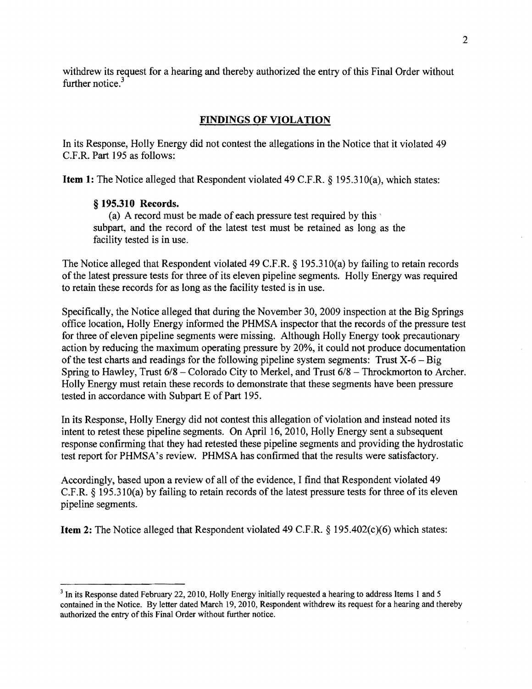withdrew its request for a hearing and thereby authorized the entry of this Final Order without further notice.<sup>3</sup>

#### **FINDINGS OF VIOLATION**

In its Response, Holly Energy did not contest the allegations in the Notice that it violated 49 C.F.R. Part 195 as follows:

**Item 1:** The Notice alleged that Respondent violated 49 C.F.R. § 195.310(a), which states:

#### § **195.310 Records.**

(a) A record must be made of each pressure test required by this' subpart, and the record of the latest test must be retained as long as the facility tested is in use.

The Notice alleged that Respondent violated 49 C.F.R. § 195.31O(a) by failing to retain records of the latest pressure tests for three of its eleven pipeline segments. Holly Energy was required to retain these records for as long as the facility tested is in use.

Specifically, the Notice alleged that during the November 30,2009 inspection at the Big Springs office location, Holly Energy informed the PHMSA inspector that the records of the pressure test for three of eleven pipeline segments were missing. Although Holly Energy took precautionary action by reducing the maximum operating pressure by 20%, it could not produce documentation of the test charts and readings for the following pipeline system segments: Trust  $X-6 - Big$ Spring to Hawley, Trust  $6/8$  – Colorado City to Merkel, and Trust  $6/8$  – Throckmorton to Archer. Holly Energy must retain these records to demonstrate that these segments have been pressure tested in accordance with Subpart E of Part 195.

In its Response, Holly Energy did not contest this allegation of violation and instead noted its intent to retest these pipeline segments. On April 16, 2010, Holly Energy sent a subsequent response confirming that they had retested these pipeline segments and providing the hydrostatic test report for PHMSA's review. PHMSA has confirmed that the results were satisfactory.

Accordingly, based upon a review of all of the evidence, I find that Respondent violated 49 C.F.R. § 195.31O(a) by failing to retain records of the latest pressure tests for three of its eleven pipeline segments.

**Item 2:** The Notice alleged that Respondent violated 49 C.F.R. § 195.402(c)(6) which states:

 $3$  In its Response dated February 22, 2010, Holly Energy initially requested a hearing to address Items 1 and 5 contained in the Notice. By letter dated March 19,2010, Respondent withdrew its request for a hearing and thereby authorized the entry of this Final Order without further notice.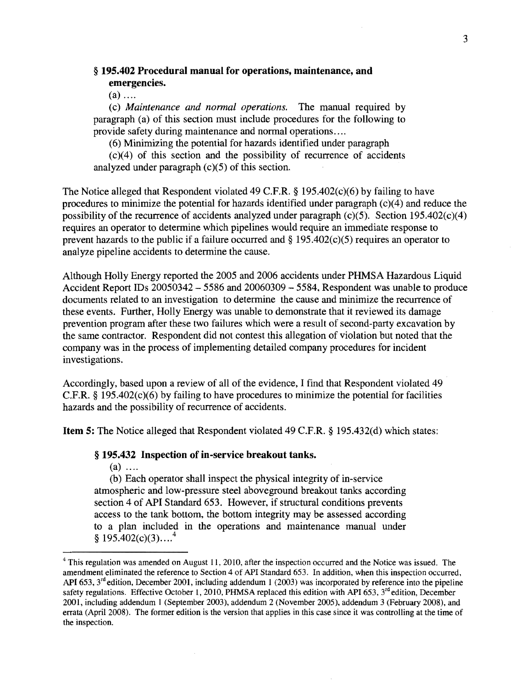# § 195.402 Procedural manual for operations, maintenance, and emergencies.

 $(a)$  ....

(c) *Maintenance and normal operations.* The manual required by paragraph (a) of this section must include procedures for the following to provide safety during maintenance and normal operations ....

(6) Minimizing the potential for hazards identified under paragraph

(c)(4) of this section and the possibility of recurrence of accidents analyzed under paragraph  $(c)(5)$  of this section.

The Notice alleged that Respondent violated 49 C.F.R. § 195.402(c)(6) by failing to have procedures to minimize the potential for hazards identified under paragraph  $(c)(4)$  and reduce the possibility of the recurrence of accidents analyzed under paragraph  $(c)(5)$ . Section 195.402 $(c)(4)$ requires an operator to determine which pipelines would require an immediate response to prevent hazards to the public if a failure occurred and § 195.402(c)(5) requires an operator to anal yze pipeline accidents to determine the cause.

Although Holly Energy reported the 2005 and 2006 accidents under PHMSA Hazardous Liquid Accident Report IDs 20050342 - 5586 and 20060309 - 5584, Respondent was unable to produce documents related to an investigation to determine the cause and minimize the recurrence of these events. Further, Holly Energy was unable to demonstrate that it reviewed its damage prevention program after these two failures which were a result of second-party excavation by the same contractor. Respondent did not contest this allegation of violation but noted that the company was in the process of implementing detailed company procedures for incident investigations.

Accordingly, based upon a review of all of the evidence, I find that Respondent violated 49 C.F.R. § 195.402(c)(6) by failing to have procedures to minimize the potential for facilities hazards and the possibility of recurrence of accidents.

Item 5: The Notice alleged that Respondent violated 49 C.F.R. § 195.432(d) which states:

#### § 195.432 Inspection of in-service breakout tanks.

 $(a)$  ....

(b) Each operator shall inspect the physical integrity of in-service atmospheric and low-pressure steel aboveground breakout tanks according section 4 of API Standard 653. However, if structural conditions prevents access to the tank bottom, the bottom integrity may be assessed according to a plan included in the operations and maintenance manual under  $$195.402(c)(3)...<sup>4</sup>$ 

<sup>&</sup>lt;sup>4</sup> This regulation was amended on August 11, 2010, after the inspection occurred and the Notice was issued. The amendment eliminated the reference to Section 4 of API Standard 653. In addition, when this inspection occurred, API 653,  $3<sup>rd</sup>$  edition, December 2001, including addendum 1 (2003) was incorporated by reference into the pipeline safety regulations. Effective October 1, 2010, PHMSA replaced this edition with API 653,  $3<sup>rd</sup>$  edition, December 2001, including addendum I (September 2003), addendum 2 (November 2005), addendum 3 (February 2008), and errata (April 2008). The former edition is the version that applies in this case since it was controlling at the time of the inspection.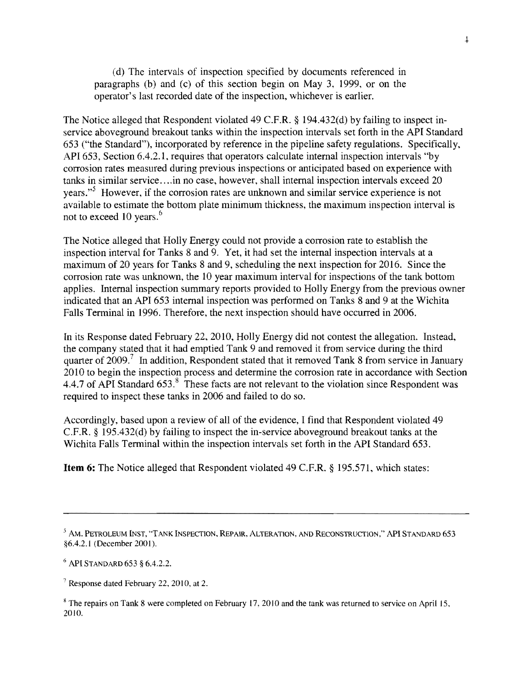(d) The intervals of inspection specified by documents referenced in paragraphs (b) and (c) of this section begin on May 3, 1999, or on the operator's last recorded date of the inspection, whichever is earlier.

The Notice alleged that Respondent violated 49 C.F.R. § 194.432(d) by failing to inspect inservice aboveground breakout tanks within the inspection intervals set forth in the API Standard 653 ("the Standard"), incorporated by reference in the pipeline safety regulations. Specifically, API 653, Section 6.4.2.1, requires that operators calculate internal inspection intervals "by corrosion rates measured during previous inspections or anticipated based on experience with tanks in similar service ....in no case, however, shall internal inspection intervals exceed 20 years."<sup>5</sup> However, if the corrosion rates are unknown and similar service experience is not available to estimate the bottom plate minimum thickness, the maximum inspection interval is not to exceed 10 years.<sup>6</sup>

The Notice alleged that Holly Energy could not provide a corrosion rate to establish the inspection interval for Tanks 8 and 9. Yet, it had set the internal inspection intervals at a maximum of 20 years for Tanks 8 and 9, scheduling the next inspection for 2016. Since the corrosion rate was unknown, the 10 year maximum interval for inspections of the tank bottom applies. Internal inspection summary reports provided to Holly Energy from the previous owner indicated that an API 653 internal inspection was performed on Tanks 8 and 9 at the Wichita Falls Terminal in 1996. Therefore, the next inspection should have occurred in 2006.

In its Response dated February 22, 2010, Holly Energy did not contest the allegation. Instead, the company stated that it had emptied Tank 9 and removed it from service during the third quarter of 2009.<sup>7</sup> In addition, Respondent stated that it removed Tank 8 from service in January 2010 to begin the inspection process and determine the corrosion rate in accordance with Section 4.4.7 of API Standard 653.<sup>8</sup> These facts are not relevant to the violation since Respondent was required to inspect these tanks in 2006 and failed to do so.

Accordingly, based upon a review of all of the evidence, I find that Respondent violated 49 C.F.R. § 195.432(d) by failing to inspect the in-service aboveground breakout tanks at the Wichita Falls Terminal within the inspection intervals set forth in the API Standard 653.

**Item 6:** The Notice alleged that Respondent violated 49 C.F.R. § 195.571, which states:

 $^5$  AM. PETROLEUM INST, "TANK INSPECTION, REPAIR, ALTERATION, AND RECONSTRUCTION," API STANDARD 653 §6.4.2.1 (December 2001).

 $6$  API STANDARD 653 § 6.4.2.2.

 $7$  Response dated February 22, 2010, at 2.

 $8$  The repairs on Tank 8 were completed on February 17, 2010 and the tank was returned to service on April 15, 2010.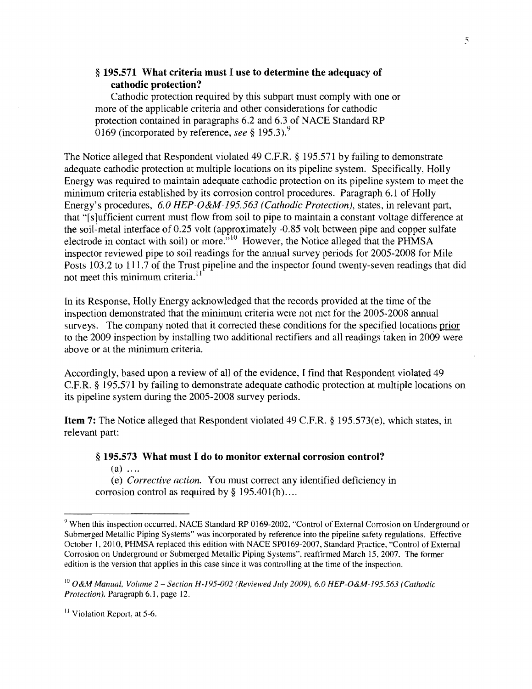## § 195.571 What criteria must I use to determine the adequacy of cathodic protection?

Cathodic protection required by this subpart must comply with one or more of the applicable criteria and other considerations for cathodic protection contained in paragraphs 6.2 and 6.3 of NACE Standard RP 0169 (incorporated by reference, *see* § 195.3).9

The Notice alleged that Respondent violated 49 C.F.R. § 195.571 by failing to demonstrate adequate cathodic protection at multiple locations on its pipeline system. Specifically, Holly Energy was required to maintain adequate cathodic protection on its pipeline system to meet the minimum criteria established by its corrosion control procedures. Paragraph 6.1 of Holly Energy's procedures, *6.0 HEP-O &M-l*95. 563 *(Cathodic Protection),* states, in relevant part, that "[s]ufficient current must flow from soil to pipe to maintain a constant voltage difference at the soil~metal interface of 0.25 volt (approximately -0.85 volt between pipe and copper sulfate electrode in contact with soil) or more. $n^{10}$  However, the Notice alleged that the PHMSA inspector reviewed pipe to soil readings for the annual survey periods for 2005-2008 for Mile Posts 103.2 to 111.7 of the Trust pipeline and the inspector found twenty-seven readings that did not meet this minimum criteria.<sup>11</sup>

In its Response, Holly Energy acknowledged that the records provided at the time of the inspection demonstrated that the minimum criteria were not met for the 2005-2008 annual surveys. The company noted that it corrected these conditions for the specified locations prior to the 2009 inspection by installing two additional rectifiers and all readings taken in 2009 were above or at the minimum criteria.

Accordingly, based upon a review of all of the evidence, I find that Respondent violated 49 C.F.R. § 195.571 by failing to demonstrate adequate cathodic protection at multiple locations on its pipeline system during the 2005-2008 survey periods.

Item 7: The Notice alleged that Respondent violated 49 C.F.R. § 195.573(e), which states, in relevant part:

### § 195.573 What must I do to monitor external corrosion control?

 $(a)$  ....

(e) *Corrective action.* You must correct any identified deficiency in corrosion control as required by  $\S 195.401(b)$ ...

<sup>&</sup>lt;sup>9</sup> When this inspection occurred, NACE Standard RP 0169-2002, "Control of External Corrosion on Underground or Submerged Metallic Piping Systems" was incorporated by reterence into the pipeline safety regulations. Effective October 1.2010. PHMSA replaced this edition with NACE SPO I69-2007, Standard Practice, "Control of External Corrosion on Underground or Submerged Metallic Piping Systems". reaffirmed March 15.2007. The former edition is the version that applies in this case since it was controlling at the time of the inspection.

<sup>&</sup>lt;sup>10</sup> O&M Manual. Volume 2 - Section H-195-002 (Reviewed July 2009). 6.0 HEP-O&M-195.563 (Cathodic Protection), Paragraph 6.1. page 12.

<sup>&</sup>lt;sup>11</sup> Violation Report, at 5-6.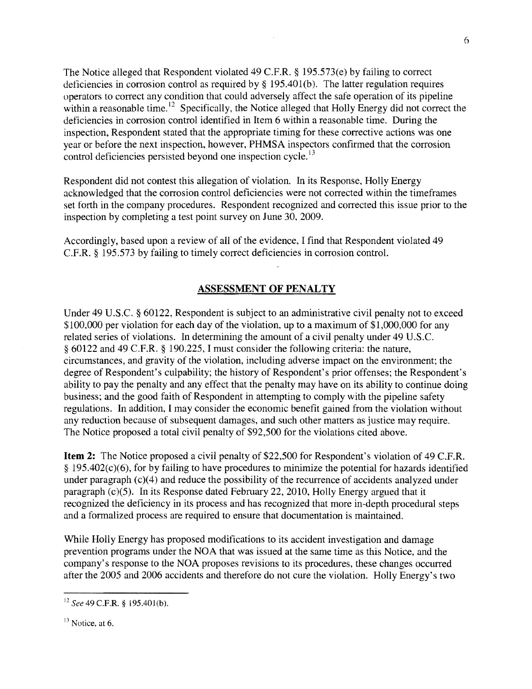The Notice alleged that Respondent violated 49 C.F.R. § 195.573(e) by failing to correct deficiencies in corrosion control as required by § 195.401(b). The latter regulation requires operators to correct any condition that could adversely affect the safe operation of its pipeline within a reasonable time.  $12$  Specifically, the Notice alleged that Holly Energy did not correct the deficiencies in corrosion control identified in Item 6 within a reasonable time. During the inspection, Respondent stated that the appropriate timing for these corrective actions was one year or before the next inspection, however, PHMSA inspectors confirmed that the corrosion control deficiencies persisted beyond one inspection cycle.<sup>13</sup>

Respondent did not contest this allegation of violation. In its Response, Holly Energy acknowledged that the corrosion control deficiencies were not corrected within the timeframes set forth in the company procedures. Respondent recognized and corrected this issue prior to the inspection by completing a test point survey on June 30,2009.

Accordingly, based upon a review of all of the evidence, I find that Respondent violated 49 C.F.R. § 195.573 by failing to timely correct deficiencies in corrosion control.

#### **ASSESSMENT OF PENALTY**

Under 49 U.S.C. § 60122, Respondent is subject to an administrative civil penalty not to exceed \$100,000 per violation for each day of the violation, up to a maximum of \$1,000,000 for any related series of violations. In determining the amount of a civil penalty under 49 U.S.C. § 60122 and 49 C.P.R. § 190.225, I must consider the following criteria: the nature, circumstances, and gravity of the violation, including adverse impact on the environment; the degree of Respondent's culpability; the history of Respondent's prior offenses; the Respondent's ability to pay the penalty and any effect that the penalty may have on its ability to continue doing business; and the good faith of Respondent in attempting to comply with the pipeline safety regulations. In addition, I may consider the economic benefit gained from the violation without any reduction because of subsequent damages, and such other matters as justice may require. The Notice proposed a total civil penalty of \$92,500 for the violations cited above.

**Item 2:** The Notice proposed a civil penalty of \$22,500 for Respondent's violation of 49 C.F.R.  $§$  195.402(c)(6), for by failing to have procedures to minimize the potential for hazards identified under paragraph  $(c)(4)$  and reduce the possibility of the recurrence of accidents analyzed under paragraph (c)(5). In its Response dated February 22,2010, Holly Energy argued that it recognized the deficiency in its process and has recognized that more in-depth procedural steps and a formalized process are required to ensure that documentation is maintained.

While Holly Energy has proposed modifications to its accident investigation and damage prevention programs under the NOA that was issued at the same time as this Notice, and the company's response to the NOA proposes revisions to its procedures, these changes occurred after the 2005 and 2006 accidents and therefore do not cure the violation. Holly Energy's two

<sup>12</sup> See 49 C.F.R. § 195.401(b).

 $13$  Notice, at 6.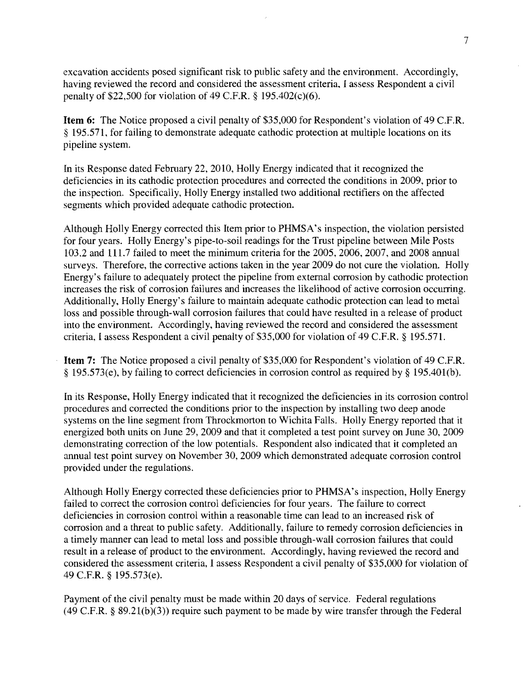excavation accidents posed significant risk to public safety and the environment. Accordingly, having reviewed the record and considered the assessment criteria. I assess Respondent a civil penalty of \$22,500 for violation of 49 C.F.R § 195.402(c)(6).

Item 6: The Notice proposed a civil penalty of \$35,000 for Respondent's violation of 49 C.F.R § 195.571, for failing to demonstrate adequate cathodic protection at multiple locations on its pipeline system.

In its Response dated Febmary 22, 2010, Holly Energy indicated that it recognized the deficiencies in its cathodic protection procedures and corrected the conditions in 2009, prior to the inspection. Specifically, Holly Energy installed two additional rectifiers on the affected segments which provided adequate cathodic protection.

Although Holly Energy corrected this Item prior to PHMSA's inspection, the violation persisted for four years. Holly Energy's pipe-to-soil readings for the Trust pipeline between Mile Posts 103.2 and 111.7 failed to meet the minimum criteria for the 2005, 2006, 2007, and 2008 annual surveys. Therefore, the corrective actions taken in the year 2009 do not cure the violation. Holly Energy's failure to adequately protect the pipeline from external corrosion by cathodic protection increases the risk of corrosion failures and increases the likelihood of active corrosion occurring. Additionally, Holly Energy's failure to maintain adequate cathodic protection can lead to metal loss and possible through-wall corrosion failures that could have resulted in a release of product into the environment. Accordingly, having reviewed the record and considered the assessment criteria, I assess Respondent a civil penalty of \$35,000 for violation of 49 C.F.R § 195.571.

Item 7: The Notice proposed a civil penalty of \$35,000 for Respondent's violation of 49 C.F.R. § 195.573(e), by failing to correct deficiencies in corrosion control as required by § 195.401(b).

In its Response, Holly Energy indicated that it recognized the deficiencies in its corrosion control procedures and corrected the conditions prior to the inspection by installing two deep anode systems on the line segment from Throckmorton to Wichita Falls. Holly Energy reported that it energized both units on June 29, 2009 and that it completed a test point survey on June 30, 2009 demonstrating correction of the low potentials. Respondent also indicated that it completed an annual test point survey on November 30, 2009 which demonstrated adequate corrosion control provided under the regulations.

Although Holly Energy corrected these deficiencies prior to PHMSA's inspection, Holly Energy failed to correct the corrosion control deficiencies for four years. The failure to correct deficiencies in corrosion control within a reasonable time can lead to an increased risk of corrosion and a threat to public safety. Additionally, failure to remedy corrosion deficiencies in a timely manner can lead to metal loss and possible through-wall corrosion failures that could result in a release of product to the environment. Accordingly, having reviewed the record and considered the assessment criteria, I assess Respondent a civil penalty of \$35,000 for violation of 49 C.F.R. § 195.573(e).

Payment of the civil penalty must be made within 20 days of service. Federal regulations  $(49 \text{ C.F.R. } § 89.21(b)(3))$  require such payment to be made by wire transfer through the Federal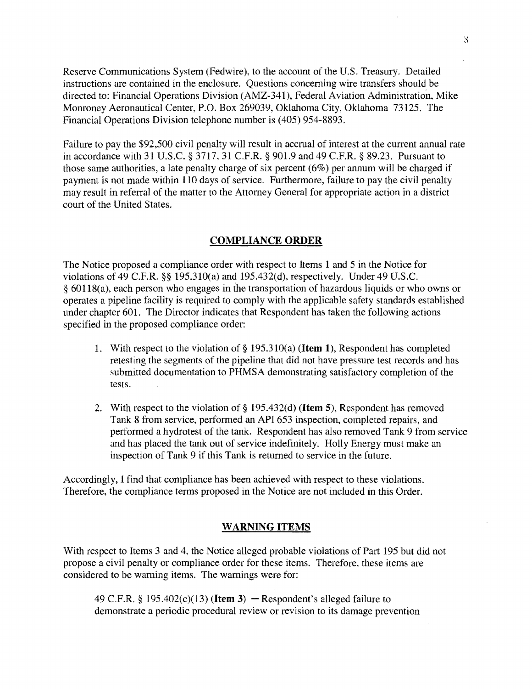Reserve Communications System (Fedwire), to the account of the U.S. Treasury. Detailed instructions are contained in the enclosure. Questions concerning wire transfers should be directed to: Financial Operations Division (AMZ-341), Federal Aviation Administration. Mike Monroney Aeronautical Center, P.O. Box 269039, Oklahoma City, Oklahoma 73125. The Financial Operations Division telephone number is (405) 954-8893.

Failure to pay the \$92,500 civil penalty will result in accrual of interest at the current annual rate in accordance with 31 U.S.C. § 3717, 31 C.F.R. § 901.9 and 49 c.F.R. § 89.23. Pursuant to those same authorities, a late penalty charge of six percent (6%) per annum will be charged if payment is not made within 110 days of service. Furthermore, failure to pay the civil penalty may result in referral of the matter to the Attorney General for appropriate action in a district court of the United States.

### COMPLIANCE ORDER

The Notice proposed a compliance order with respect to Items 1 and 5 in the Notice for violations of 49 C.F.R. §§ 195.31O(a) and 195.432(d), respectively. Under 49 U.S.C. § 60 118( a), each person who engages in the transportation of hazardous liquids or who owns or operates a pipeline facility is required to comply with the applicable safety standards established under chapter 601. The Director indicates that Respondent has taken the following actions specified in the proposed compliance order:

- 1. With respect to the violation of  $\S 195.310(a)$  (**Item 1**), Respondent has completed retesting the segments of the pipeline that did not have pressure test records and has submitted documentation to PHMSA demonstrating satisfactory completion of the tests.
- 2. With respect to the violation of  $\S$  195.432(d) (**Item 5**), Respondent has removed Tank 8 from service, performed an API 653 inspection, completed repairs, and performed a hydrotest of the tank. Respondent has also removed Tank 9 from service and has placed the tank out of service indefinitely. Holly Energy must make an inspection of Tank 9 if this Tank is returned to service in the future.

Accordingly, I find that compliance has been achieved with respect to these violations. Therefore, the compliance terms proposed in the Notice are not included in this Order.

### WARNING ITEMS

With respect to Items 3 and 4, the Notice alleged probable violations of Part 195 but did not propose a civil penalty or compliance order for these items. Therefore, these items are considered to be warning items. The warnings were for:

49 C.F.R. § 195.402(c)(13) (Item 3) - Respondent's alleged failure to demonstrate a periodic procedural review or revision to its damage prevention